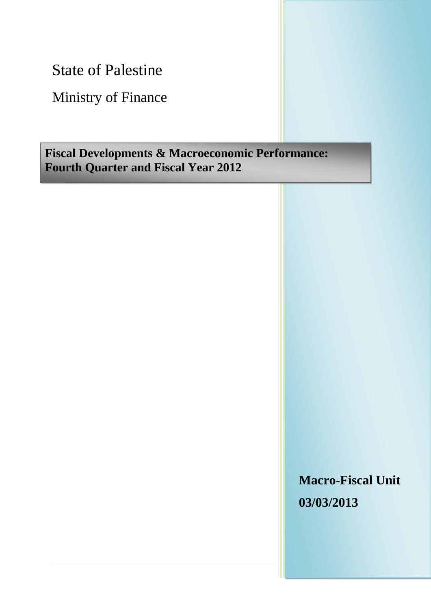State of Palestine

Ministry of Finance

# **Fiscal Developments & Macroeconomic Performance: Fourth Quarter and Fiscal Year 2012**

**Macro-Fiscal Unit 03/03/2013**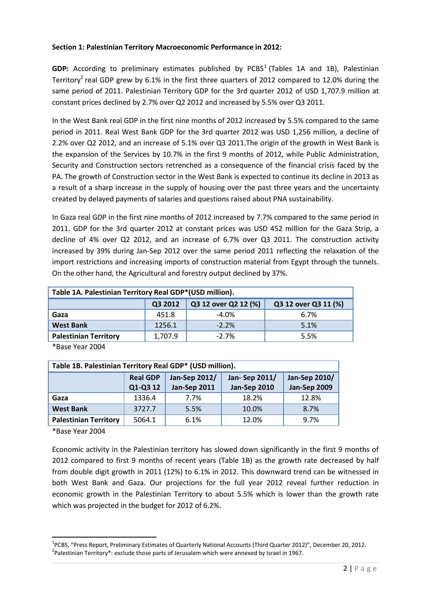## **Section 1: Palestinian Territory Macroeconomic Performance in 2012:**

GDP: According to preliminary estimates published by PCBS<sup>1</sup> (Tables 1A and 1B), Palestinian Territory<sup>2</sup> real GDP grew by 6.1% in the first three quarters of 2012 compared to 12.0% during the same period of 2011. Palestinian Territory GDP for the 3rd quarter 2012 of USD 1,707.9 million at constant prices declined by 2.7% over Q2 2012 and increased by 5.5% over Q3 2011.

In the West Bank real GDP in the first nine months of 2012 increased by 5.5% compared to the same period in 2011. Real West Bank GDP for the 3rd quarter 2012 was USD 1,256 million, a decline of 2.2% over Q2 2012, and an increase of 5.1% over Q3 2011.The origin of the growth in West Bank is the expansion of the Services by 10.7% in the first 9 months of 2012, while Public Administration, Security and Construction sectors retrenched as a consequence of the financial crisis faced by the PA. The growth of Construction sector in the West Bank is expected to continue its decline in 2013 as a result of a sharp increase in the supply of housing over the past three years and the uncertainty created by delayed payments of salaries and questions raised about PNA sustainability.

In Gaza real GDP in the first nine months of 2012 increased by 7.7% compared to the same period in 2011. GDP for the 3rd quarter 2012 at constant prices was USD 452 million for the Gaza Strip, a decline of 4% over Q2 2012, and an increase of 6.7% over Q3 2011. The construction activity increased by 39% during Jan-Sep 2012 over the same period 2011 reflecting the relaxation of the import restrictions and increasing imports of construction material from Egypt through the tunnels. On the other hand, the Agricultural and forestry output declined by 37%.

| Table 1A. Palestinian Territory Real GDP*(USD million). |         |                      |                      |  |  |  |
|---------------------------------------------------------|---------|----------------------|----------------------|--|--|--|
|                                                         | Q3 2012 | Q3 12 over Q2 12 (%) | Q3 12 over Q3 11 (%) |  |  |  |
| Gaza                                                    | 451.8   | $-4.0%$              | 6.7%                 |  |  |  |
| <b>West Bank</b>                                        | 1256.1  | $-2.2%$              | 5.1%                 |  |  |  |
| <b>Palestinian Territory</b>                            | 1,707.9 | $-2.7%$              | 5.5%                 |  |  |  |

\*Base Year 2004

| Table 1B. Palestinian Territory Real GDP* (USD million). |                                                                           |                     |                     |              |  |  |
|----------------------------------------------------------|---------------------------------------------------------------------------|---------------------|---------------------|--------------|--|--|
|                                                          | <b>Jan-Sep 2012/</b><br>Jan-Sep 2011/<br>Jan-Sep 2010/<br><b>Real GDP</b> |                     |                     |              |  |  |
|                                                          | Q1-Q3 12                                                                  | <b>Jan-Sep 2011</b> | <b>Jan-Sep 2010</b> | Jan-Sep 2009 |  |  |
| Gaza                                                     | 1336.4                                                                    | 7.7%                | 18.2%               | 12.8%        |  |  |
| <b>West Bank</b>                                         | 3727.7                                                                    | 5.5%                | 10.0%               | 8.7%         |  |  |
| <b>Palestinian Territory</b>                             | 5064.1                                                                    | 6.1%                | 12.0%               | 9.7%         |  |  |

\*Base Year 2004

**.** 

Economic activity in the Palestinian territory has slowed down significantly in the first 9 months of 2012 compared to first 9 months of recent years (Table 1B) as the growth rate decreased by half from double digit growth in 2011 (12%) to 6.1% in 2012. This downward trend can be witnessed in both West Bank and Gaza. Our projections for the full year 2012 reveal further reduction in economic growth in the Palestinian Territory to about 5.5% which is lower than the growth rate which was projected in the budget for 2012 of 6.2%.

<sup>&</sup>lt;sup>1</sup>PCBS, "Press Report, Preliminary Estimates of Quarterly National Accounts (Third Quarter 2012)", December 20, 2012.  $^{2}$ Palestinian Territory\*: exclude those parts of Jerusalem which were annexed by Israel in 1967.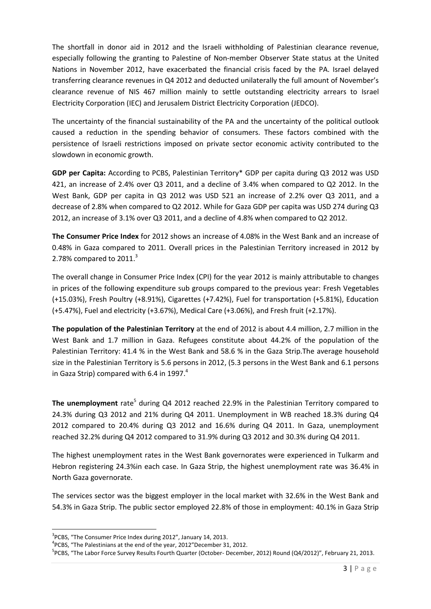The shortfall in donor aid in 2012 and the Israeli withholding of Palestinian clearance revenue, especially following the granting to Palestine of Non-member Observer State status at the United Nations in November 2012, have exacerbated the financial crisis faced by the PA. Israel delayed transferring clearance revenues in Q4 2012 and deducted unilaterally the full amount of November's clearance revenue of NIS 467 million mainly to settle outstanding electricity arrears to Israel Electricity Corporation (IEC) and Jerusalem District Electricity Corporation (JEDCO).

The uncertainty of the financial sustainability of the PA and the uncertainty of the political outlook caused a reduction in the spending behavior of consumers. These factors combined with the persistence of Israeli restrictions imposed on private sector economic activity contributed to the slowdown in economic growth.

**GDP per Capita:** According to PCBS, Palestinian Territory\* GDP per capita during Q3 2012 was USD 421, an increase of 2.4% over Q3 2011, and a decline of 3.4% when compared to Q2 2012. In the West Bank, GDP per capita in Q3 2012 was USD 521 an increase of 2.2% over Q3 2011, and a decrease of 2.8% when compared to Q2 2012. While for Gaza GDP per capita was USD 274 during Q3 2012, an increase of 3.1% over Q3 2011, and a decline of 4.8% when compared to Q2 2012.

**The Consumer Price Index** for 2012 shows an increase of 4.08% in the West Bank and an increase of 0.48% in Gaza compared to 2011. Overall prices in the Palestinian Territory increased in 2012 by 2.78% compared to  $2011.<sup>3</sup>$ 

The overall change in Consumer Price Index (CPI) for the year 2012 is mainly attributable to changes in prices of the following expenditure sub groups compared to the previous year: Fresh Vegetables (+15.03%), Fresh Poultry (+8.91%), Cigarettes (+7.42%), Fuel for transportation (+5.81%), Education (+5.47%), Fuel and electricity (+3.67%), Medical Care (+3.06%), and Fresh fruit (+2.17%).

**The population of the Palestinian Territory** at the end of 2012 is about 4.4 million, 2.7 million in the West Bank and 1.7 million in Gaza. Refugees constitute about 44.2% of the population of the Palestinian Territory: 41.4 % in the West Bank and 58.6 % in the Gaza Strip.The average household size in the Palestinian Territory is 5.6 persons in 2012, (5.3 persons in the West Bank and 6.1 persons in Gaza Strip) compared with 6.4 in 1997. $^{4}$ 

The unemployment rate<sup>5</sup> during Q4 2012 reached 22.9% in the Palestinian Territory compared to 24.3% during Q3 2012 and 21% during Q4 2011. Unemployment in WB reached 18.3% during Q4 2012 compared to 20.4% during Q3 2012 and 16.6% during Q4 2011. In Gaza, unemployment reached 32.2% during Q4 2012 compared to 31.9% during Q3 2012 and 30.3% during Q4 2011.

The highest unemployment rates in the West Bank governorates were experienced in Tulkarm and Hebron registering 24.3%in each case. In Gaza Strip, the highest unemployment rate was 36.4% in North Gaza governorate.

The services sector was the biggest employer in the local market with 32.6% in the West Bank and 54.3% in Gaza Strip. The public sector employed 22.8% of those in employment: 40.1% in Gaza Strip

**.** 

<sup>&</sup>lt;sup>3</sup>PCBS, "The Consumer Price Index during 2012", January 14, 2013.

<sup>&</sup>lt;sup>4</sup>PCBS, "The Palestinians at the end of the year, 2012"December 31, 2012.

<sup>5</sup> PCBS, "The Labor Force Survey Results Fourth Quarter (October- December, 2012) Round (Q4/2012)", February 21, 2013.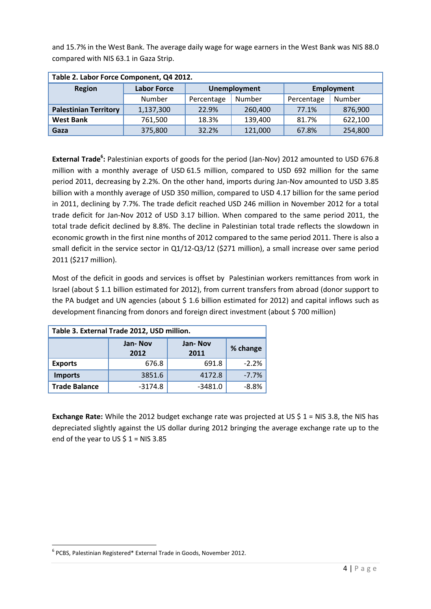and 15.7% in the West Bank. The average daily wage for wage earners in the West Bank was NIS 88.0 compared with NIS 63.1 in Gaza Strip.

| Table 2. Labor Force Component, Q4 2012. |                    |            |                     |            |            |  |  |
|------------------------------------------|--------------------|------------|---------------------|------------|------------|--|--|
| <b>Region</b>                            | <b>Labor Force</b> |            | <b>Unemployment</b> |            | Employment |  |  |
|                                          | Number             | Percentage | Number              | Percentage | Number     |  |  |
| <b>Palestinian Territory</b>             | 1,137,300          | 22.9%      | 260,400             | 77.1%      | 876,900    |  |  |
| <b>West Bank</b>                         | 761,500            | 18.3%      | 139,400             | 81.7%      | 622,100    |  |  |
| Gaza                                     | 375,800            | 32.2%      | 121,000             | 67.8%      | 254,800    |  |  |

**External Trade<sup>6</sup> :** Palestinian exports of goods for the period (Jan-Nov) 2012 amounted to USD 676.8 million with a monthly average of USD 61.5 million, compared to USD 692 million for the same period 2011, decreasing by 2.2%. On the other hand, imports during Jan-Nov amounted to USD 3.85 billion with a monthly average of USD 350 million, compared to USD 4.17 billion for the same period in 2011, declining by 7.7%. The trade deficit reached USD 246 million in November 2012 for a total trade deficit for Jan-Nov 2012 of USD 3.17 billion. When compared to the same period 2011, the total trade deficit declined by 8.8%. The decline in Palestinian total trade reflects the slowdown in economic growth in the first nine months of 2012 compared to the same period 2011. There is also a small deficit in the service sector in Q1/12-Q3/12 (\$271 million), a small increase over same period 2011 (\$217 million).

Most of the deficit in goods and services is offset by Palestinian workers remittances from work in Israel (about \$ 1.1 billion estimated for 2012), from current transfers from abroad (donor support to the PA budget and UN agencies (about  $$ 1.6$  billion estimated for 2012) and capital inflows such as development financing from donors and foreign direct investment (about \$ 700 million)

| Table 3. External Trade 2012, USD million. |                                                |           |         |  |  |  |
|--------------------------------------------|------------------------------------------------|-----------|---------|--|--|--|
|                                            | Jan-Nov<br>Jan-Nov<br>% change<br>2011<br>2012 |           |         |  |  |  |
| <b>Exports</b>                             | 676.8                                          | 691.8     | $-2.2%$ |  |  |  |
| <b>Imports</b>                             | 3851.6                                         | 4172.8    | $-7.7%$ |  |  |  |
| <b>Trade Balance</b>                       | $-3174.8$                                      | $-3481.0$ | $-8.8%$ |  |  |  |

**Exchange Rate:** While the 2012 budget exchange rate was projected at US \$ 1 = NIS 3.8, the NIS has depreciated slightly against the US dollar during 2012 bringing the average exchange rate up to the end of the year to US  $$1 = NIS 3.85$ 

1

<sup>6</sup> PCBS, Palestinian Registered\* External Trade in Goods, November 2012.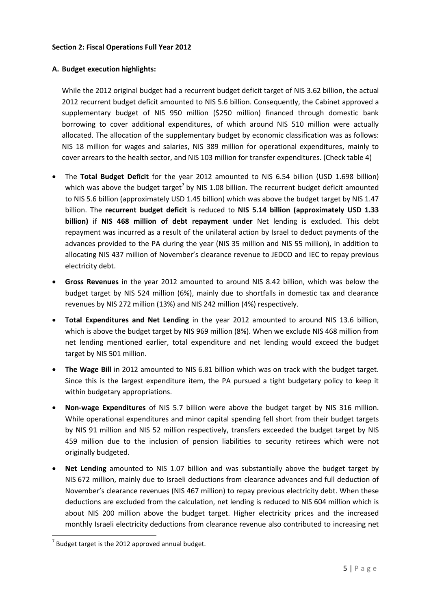#### **Section 2: Fiscal Operations Full Year 2012**

## **A. Budget execution highlights:**

While the 2012 original budget had a recurrent budget deficit target of NIS 3.62 billion, the actual 2012 recurrent budget deficit amounted to NIS 5.6 billion. Consequently, the Cabinet approved a supplementary budget of NIS 950 million (\$250 million) financed through domestic bank borrowing to cover additional expenditures, of which around NIS 510 million were actually allocated. The allocation of the supplementary budget by economic classification was as follows: NIS 18 million for wages and salaries, NIS 389 million for operational expenditures, mainly to cover arrears to the health sector, and NIS 103 million for transfer expenditures. (Check table 4)

- The **Total Budget Deficit** for the year 2012 amounted to NIS 6.54 billion (USD 1.698 billion) which was above the budget target<sup>7</sup> by NIS 1.08 billion. The recurrent budget deficit amounted to NIS 5.6 billion (approximately USD 1.45 billion) which was above the budget target by NIS 1.47 billion. The **recurrent budget deficit** is reduced to **NIS 5.14 billion (approximately USD 1.33 billion)** if **NIS 468 million of debt repayment under** Net lending is excluded. This debt repayment was incurred as a result of the unilateral action by Israel to deduct payments of the advances provided to the PA during the year (NIS 35 million and NIS 55 million), in addition to allocating NIS 437 million of November's clearance revenue to JEDCO and IEC to repay previous electricity debt.
- **Gross Revenues** in the year 2012 amounted to around NIS 8.42 billion, which was below the budget target by NIS 524 million (6%), mainly due to shortfalls in domestic tax and clearance revenues by NIS 272 million (13%) and NIS 242 million (4%) respectively.
- **Total Expenditures and Net Lending** in the year 2012 amounted to around NIS 13.6 billion, which is above the budget target by NIS 969 million (8%). When we exclude NIS 468 million from net lending mentioned earlier, total expenditure and net lending would exceed the budget target by NIS 501 million.
- **The Wage Bill** in 2012 amounted to NIS 6.81 billion which was on track with the budget target. Since this is the largest expenditure item, the PA pursued a tight budgetary policy to keep it within budgetary appropriations.
- **Non-wage Expenditures** of NIS 5.7 billion were above the budget target by NIS 316 million. While operational expenditures and minor capital spending fell short from their budget targets by NIS 91 million and NIS 52 million respectively, transfers exceeded the budget target by NIS 459 million due to the inclusion of pension liabilities to security retirees which were not originally budgeted.
- **Net Lending** amounted to NIS 1.07 billion and was substantially above the budget target by NIS 672 million, mainly due to Israeli deductions from clearance advances and full deduction of November's clearance revenues (NIS 467 million) to repay previous electricity debt. When these deductions are excluded from the calculation, net lending is reduced to NIS 604 million which is about NIS 200 million above the budget target. Higher electricity prices and the increased monthly Israeli electricity deductions from clearance revenue also contributed to increasing net

 $\overline{a}$ 

 $7$  Budget target is the 2012 approved annual budget.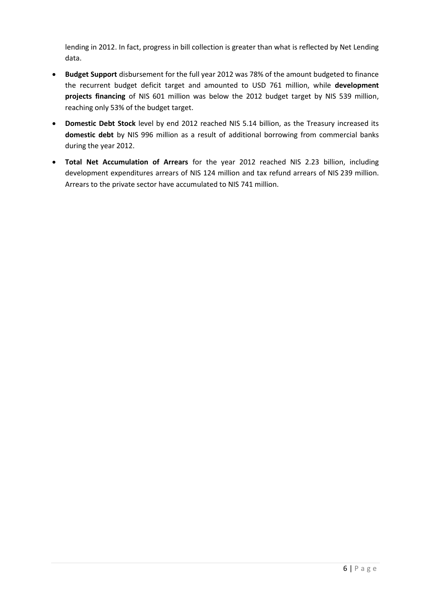lending in 2012. In fact, progress in bill collection is greater than what is reflected by Net Lending data.

- **Budget Support** disbursement for the full year 2012 was 78% of the amount budgeted to finance the recurrent budget deficit target and amounted to USD 761 million, while **development projects financing** of NIS 601 million was below the 2012 budget target by NIS 539 million, reaching only 53% of the budget target.
- **Domestic Debt Stock** level by end 2012 reached NIS 5.14 billion, as the Treasury increased its **domestic debt** by NIS 996 million as a result of additional borrowing from commercial banks during the year 2012.
- **Total Net Accumulation of Arrears** for the year 2012 reached NIS 2.23 billion, including development expenditures arrears of NIS 124 million and tax refund arrears of NIS 239 million. Arrears to the private sector have accumulated to NIS 741 million.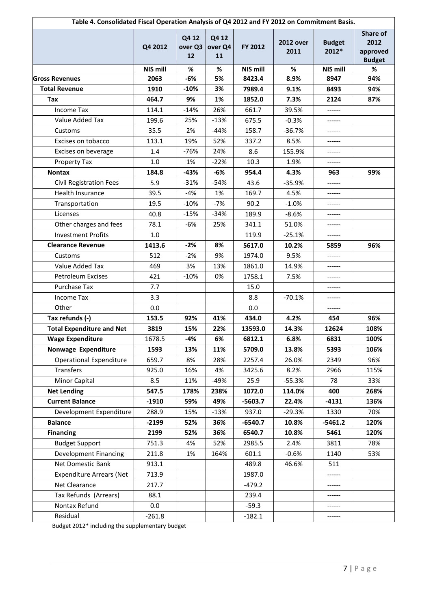| Table 4. Consolidated Fiscal Operation Analysis of Q4 2012 and FY 2012 on Commitment Basis. |          |                        |                        |                 |                          |                        |                                               |
|---------------------------------------------------------------------------------------------|----------|------------------------|------------------------|-----------------|--------------------------|------------------------|-----------------------------------------------|
|                                                                                             | Q4 2012  | Q4 12<br>over Q3<br>12 | Q4 12<br>over Q4<br>11 | FY 2012         | <b>2012 over</b><br>2011 | <b>Budget</b><br>2012* | Share of<br>2012<br>approved<br><b>Budget</b> |
|                                                                                             | NIS mill | %                      | $\%$                   | <b>NIS mill</b> | %                        | NIS mill               | %                                             |
| <b>Gross Revenues</b>                                                                       | 2063     | -6%                    | 5%                     | 8423.4          | 8.9%                     | 8947                   | 94%                                           |
| <b>Total Revenue</b>                                                                        | 1910     | $-10%$                 | 3%                     | 7989.4          | 9.1%                     | 8493                   | 94%                                           |
| <b>Tax</b>                                                                                  | 464.7    | 9%                     | 1%                     | 1852.0          | 7.3%                     | 2124                   | 87%                                           |
| <b>Income Tax</b>                                                                           | 114.1    | $-14%$                 | 26%                    | 661.7           | 39.5%                    | ------                 |                                               |
| Value Added Tax                                                                             | 199.6    | 25%                    | $-13%$                 | 675.5           | $-0.3%$                  | ------                 |                                               |
| Customs                                                                                     | 35.5     | 2%                     | $-44%$                 | 158.7           | $-36.7%$                 | ------                 |                                               |
| Excises on tobacco                                                                          | 113.1    | 19%                    | 52%                    | 337.2           | 8.5%                     | ------                 |                                               |
| Excises on beverage                                                                         | 1.4      | -76%                   | 24%                    | 8.6             | 155.9%                   |                        |                                               |
| Property Tax                                                                                | $1.0\,$  | 1%                     | $-22%$                 | 10.3            | 1.9%                     | ------                 |                                               |
| <b>Nontax</b>                                                                               | 184.8    | -43%                   | $-6%$                  | 954.4           | 4.3%                     | 963                    | 99%                                           |
| <b>Civil Registration Fees</b>                                                              | 5.9      | $-31%$                 | $-54%$                 | 43.6            | $-35.9%$                 | ------                 |                                               |
| Health Insurance                                                                            | 39.5     | $-4%$                  | 1%                     | 169.7           | 4.5%                     | ------                 |                                               |
| Transportation                                                                              | 19.5     | $-10%$                 | $-7%$                  | 90.2            | $-1.0%$                  |                        |                                               |
| Licenses                                                                                    | 40.8     | $-15%$                 | $-34%$                 | 189.9           | $-8.6%$                  | ------                 |                                               |
| Other charges and fees                                                                      | 78.1     | -6%                    | 25%                    | 341.1           | 51.0%                    |                        |                                               |
| <b>Investment Profits</b>                                                                   | 1.0      |                        |                        | 119.9           | $-25.1%$                 | ------                 |                                               |
| <b>Clearance Revenue</b>                                                                    | 1413.6   | $-2%$                  | 8%                     | 5617.0          | 10.2%                    | 5859                   | 96%                                           |
| Customs                                                                                     | 512      | $-2%$                  | 9%                     | 1974.0          | 9.5%                     | ------                 |                                               |
| Value Added Tax                                                                             | 469      | 3%                     | 13%                    | 1861.0          | 14.9%                    | ------                 |                                               |
| <b>Petroleum Excises</b>                                                                    | 421      | $-10%$                 | 0%                     | 1758.1          | 7.5%                     |                        |                                               |
| Purchase Tax                                                                                | 7.7      |                        |                        | 15.0            |                          | ------                 |                                               |
| <b>Income Tax</b>                                                                           | 3.3      |                        |                        | 8.8             | $-70.1%$                 | ------                 |                                               |
| Other                                                                                       | 0.0      |                        |                        | 0.0             |                          | ------                 |                                               |
| Tax refunds (-)                                                                             | 153.5    | 92%                    | 41%                    | 434.0           | 4.2%                     | 454                    | 96%                                           |
| <b>Total Expenditure and Net</b>                                                            | 3819     | 15%                    | 22%                    | 13593.0         | 14.3%                    | 12624                  | 108%                                          |
| <b>Wage Expenditure</b>                                                                     | 1678.5   | -4%                    | 6%                     | 6812.1          | 6.8%                     | 6831                   | 100%                                          |
| Nonwage Expenditure                                                                         | 1593     | 13%                    | 11%                    | 5709.0          | 13.8%                    | 5393                   | 106%                                          |
| <b>Operational Expenditure</b>                                                              | 659.7    | 8%                     | 28%                    | 2257.4          | 26.0%                    | 2349                   | 96%                                           |
| <b>Transfers</b>                                                                            | 925.0    | 16%                    | 4%                     | 3425.6          | 8.2%                     | 2966                   | 115%                                          |
| Minor Capital                                                                               | 8.5      | 11%                    | -49%                   | 25.9            | $-55.3%$                 | 78                     | 33%                                           |
| <b>Net Lending</b>                                                                          | 547.5    | 178%                   | 238%                   | 1072.0          | 114.0%                   | 400                    | 268%                                          |
| <b>Current Balance</b>                                                                      | $-1910$  | 59%                    | 49%                    | $-5603.7$       | 22.4%                    | $-4131$                | 136%                                          |
| Development Expenditure                                                                     | 288.9    | 15%                    | $-13%$                 | 937.0           | $-29.3%$                 | 1330                   | 70%                                           |
| <b>Balance</b>                                                                              | $-2199$  | 52%                    | 36%                    | $-6540.7$       | 10.8%                    | $-5461.2$              | 120%                                          |
| <b>Financing</b>                                                                            | 2199     | 52%                    | 36%                    | 6540.7          | 10.8%                    | 5461                   | 120%                                          |
| <b>Budget Support</b>                                                                       | 751.3    | 4%                     | 52%                    | 2985.5          | 2.4%                     | 3811                   | 78%                                           |
| <b>Development Financing</b>                                                                | 211.8    | 1%                     | 164%                   | 601.1           | $-0.6%$                  | 1140                   | 53%                                           |
| Net Domestic Bank                                                                           | 913.1    |                        |                        | 489.8           | 46.6%                    | 511                    |                                               |
| <b>Expenditure Arrears (Net</b>                                                             | 713.9    |                        |                        | 1987.0          |                          | ------                 |                                               |
| Net Clearance                                                                               | 217.7    |                        |                        | $-479.2$        |                          |                        |                                               |
| Tax Refunds (Arrears)                                                                       | 88.1     |                        |                        | 239.4           |                          |                        |                                               |
| Nontax Refund                                                                               | 0.0      |                        |                        | $-59.3$         |                          |                        |                                               |
| Residual                                                                                    | $-261.8$ |                        |                        | $-182.1$        |                          |                        |                                               |
|                                                                                             |          |                        |                        |                 |                          |                        |                                               |

Budget 2012\* including the supplementary budget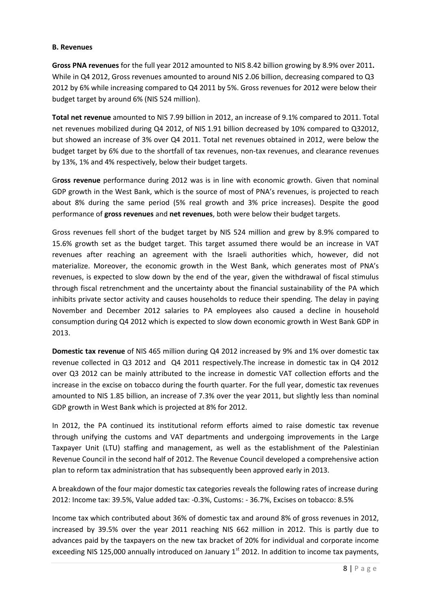#### **B. Revenues**

**Gross PNA revenues** for the full year 2012 amounted to NIS 8.42 billion growing by 8.9% over 2011**.**  While in Q4 2012, Gross revenues amounted to around NIS 2.06 billion, decreasing compared to Q3 2012 by 6% while increasing compared to Q4 2011 by 5%. Gross revenues for 2012 were below their budget target by around 6% (NIS 524 million).

**Total net revenue** amounted to NIS 7.99 billion in 2012, an increase of 9.1% compared to 2011. Total net revenues mobilized during Q4 2012, of NIS 1.91 billion decreased by 10% compared to Q32012, but showed an increase of 3% over Q4 2011. Total net revenues obtained in 2012, were below the budget target by 6% due to the shortfall of tax revenues, non-tax revenues, and clearance revenues by 13%, 1% and 4% respectively, below their budget targets.

G**ross revenue** performance during 2012 was is in line with economic growth. Given that nominal GDP growth in the West Bank, which is the source of most of PNA's revenues, is projected to reach about 8% during the same period (5% real growth and 3% price increases). Despite the good performance of **gross revenues** and **net revenues**, both were below their budget targets.

Gross revenues fell short of the budget target by NIS 524 million and grew by 8.9% compared to 15.6% growth set as the budget target. This target assumed there would be an increase in VAT revenues after reaching an agreement with the Israeli authorities which, however, did not materialize. Moreover, the economic growth in the West Bank, which generates most of PNA's revenues, is expected to slow down by the end of the year, given the withdrawal of fiscal stimulus through fiscal retrenchment and the uncertainty about the financial sustainability of the PA which inhibits private sector activity and causes households to reduce their spending. The delay in paying November and December 2012 salaries to PA employees also caused a decline in household consumption during Q4 2012 which is expected to slow down economic growth in West Bank GDP in 2013.

**Domestic tax revenue** of NIS 465 million during Q4 2012 increased by 9% and 1% over domestic tax revenue collected in Q3 2012 and Q4 2011 respectively.The increase in domestic tax in Q4 2012 over Q3 2012 can be mainly attributed to the increase in domestic VAT collection efforts and the increase in the excise on tobacco during the fourth quarter. For the full year, domestic tax revenues amounted to NIS 1.85 billion, an increase of 7.3% over the year 2011, but slightly less than nominal GDP growth in West Bank which is projected at 8% for 2012.

In 2012, the PA continued its institutional reform efforts aimed to raise domestic tax revenue through unifying the customs and VAT departments and undergoing improvements in the Large Taxpayer Unit (LTU) staffing and management, as well as the establishment of the Palestinian Revenue Council in the second half of 2012. The Revenue Council developed a comprehensive action plan to reform tax administration that has subsequently been approved early in 2013.

A breakdown of the four major domestic tax categories reveals the following rates of increase during 2012: Income tax: 39.5%, Value added tax: -0.3%, Customs: - 36.7%, Excises on tobacco: 8.5%

Income tax which contributed about 36% of domestic tax and around 8% of gross revenues in 2012, increased by 39.5% over the year 2011 reaching NIS 662 million in 2012. This is partly due to advances paid by the taxpayers on the new tax bracket of 20% for individual and corporate income exceeding NIS 125,000 annually introduced on January  $1<sup>st</sup>$  2012. In addition to income tax payments,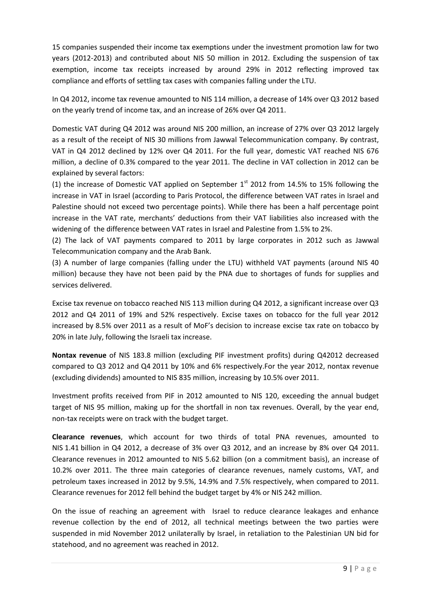15 companies suspended their income tax exemptions under the investment promotion law for two years (2012-2013) and contributed about NIS 50 million in 2012. Excluding the suspension of tax exemption, income tax receipts increased by around 29% in 2012 reflecting improved tax compliance and efforts of settling tax cases with companies falling under the LTU.

In Q4 2012, income tax revenue amounted to NIS 114 million, a decrease of 14% over Q3 2012 based on the yearly trend of income tax, and an increase of 26% over Q4 2011.

Domestic VAT during Q4 2012 was around NIS 200 million, an increase of 27% over Q3 2012 largely as a result of the receipt of NIS 30 millions from Jawwal Telecommunication company. By contrast, VAT in Q4 2012 declined by 12% over Q4 2011. For the full year, domestic VAT reached NIS 676 million, a decline of 0.3% compared to the year 2011. The decline in VAT collection in 2012 can be explained by several factors:

(1) the increase of Domestic VAT applied on September  $1<sup>st</sup>$  2012 from 14.5% to 15% following the increase in VAT in Israel (according to Paris Protocol, the difference between VAT rates in Israel and Palestine should not exceed two percentage points). While there has been a half percentage point increase in the VAT rate, merchants' deductions from their VAT liabilities also increased with the widening of the difference between VAT rates in Israel and Palestine from 1.5% to 2%.

(2) The lack of VAT payments compared to 2011 by large corporates in 2012 such as Jawwal Telecommunication company and the Arab Bank.

(3) A number of large companies (falling under the LTU) withheld VAT payments (around NIS 40 million) because they have not been paid by the PNA due to shortages of funds for supplies and services delivered.

Excise tax revenue on tobacco reached NIS 113 million during Q4 2012, a significant increase over Q3 2012 and Q4 2011 of 19% and 52% respectively. Excise taxes on tobacco for the full year 2012 increased by 8.5% over 2011 as a result of MoF's decision to increase excise tax rate on tobacco by 20% in late July, following the Israeli tax increase.

**Nontax revenue** of NIS 183.8 million (excluding PIF investment profits) during Q42012 decreased compared to Q3 2012 and Q4 2011 by 10% and 6% respectively.For the year 2012, nontax revenue (excluding dividends) amounted to NIS 835 million, increasing by 10.5% over 2011.

Investment profits received from PIF in 2012 amounted to NIS 120, exceeding the annual budget target of NIS 95 million, making up for the shortfall in non tax revenues. Overall, by the year end, non-tax receipts were on track with the budget target.

**Clearance revenues**, which account for two thirds of total PNA revenues, amounted to NIS 1.41 billion in Q4 2012, a decrease of 3% over Q3 2012, and an increase by 8% over Q4 2011. Clearance revenues in 2012 amounted to NIS 5.62 billion (on a commitment basis), an increase of 10.2% over 2011. The three main categories of clearance revenues, namely customs, VAT, and petroleum taxes increased in 2012 by 9.5%, 14.9% and 7.5% respectively, when compared to 2011. Clearance revenues for 2012 fell behind the budget target by 4% or NIS 242 million.

On the issue of reaching an agreement with Israel to reduce clearance leakages and enhance revenue collection by the end of 2012, all technical meetings between the two parties were suspended in mid November 2012 unilaterally by Israel, in retaliation to the Palestinian UN bid for statehood, and no agreement was reached in 2012.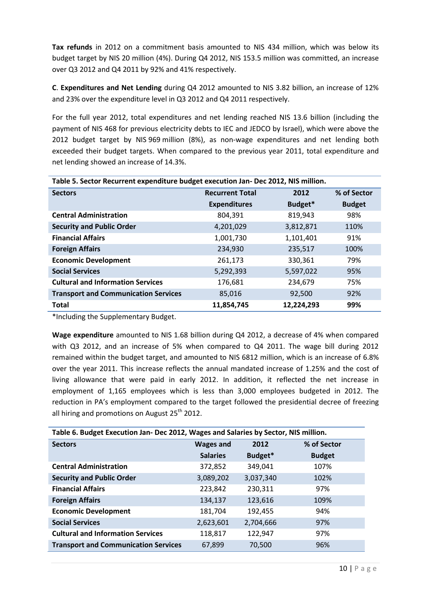**Tax refunds** in 2012 on a commitment basis amounted to NIS 434 million, which was below its budget target by NIS 20 million (4%). During Q4 2012, NIS 153.5 million was committed, an increase over Q3 2012 and Q4 2011 by 92% and 41% respectively.

**C**. **Expenditures and Net Lending** during Q4 2012 amounted to NIS 3.82 billion, an increase of 12% and 23% over the expenditure level in Q3 2012 and Q4 2011 respectively.

For the full year 2012, total expenditures and net lending reached NIS 13.6 billion (including the payment of NIS 468 for previous electricity debts to IEC and JEDCO by Israel), which were above the 2012 budget target by NIS 969 million (8%), as non-wage expenditures and net lending both exceeded their budget targets. When compared to the previous year 2011, total expenditure and net lending showed an increase of 14.3%.

| Table 5. Sector Recurrent expenditure budget execution Jan- Dec 2012, NIS million. |                        |            |               |  |  |  |
|------------------------------------------------------------------------------------|------------------------|------------|---------------|--|--|--|
| <b>Sectors</b>                                                                     | <b>Recurrent Total</b> | 2012       |               |  |  |  |
|                                                                                    | <b>Expenditures</b>    | Budget*    | <b>Budget</b> |  |  |  |
| <b>Central Administration</b>                                                      | 804,391                | 819,943    | 98%           |  |  |  |
| <b>Security and Public Order</b>                                                   | 4,201,029              | 3,812,871  | 110%          |  |  |  |
| <b>Financial Affairs</b>                                                           | 1,001,730              | 1,101,401  | 91%           |  |  |  |
| <b>Foreign Affairs</b>                                                             | 234,930                | 235,517    | 100%          |  |  |  |
| <b>Economic Development</b>                                                        | 261,173                | 330,361    | 79%           |  |  |  |
| <b>Social Services</b>                                                             | 5,292,393              | 5,597,022  | 95%           |  |  |  |
| <b>Cultural and Information Services</b>                                           | 176,681                | 234.679    | 75%           |  |  |  |
| <b>Transport and Communication Services</b>                                        | 85,016                 | 92,500     | 92%           |  |  |  |
| <b>Total</b>                                                                       | 11,854,745             | 12,224,293 | 99%           |  |  |  |

\*Including the Supplementary Budget.

**Wage expenditure** amounted to NIS 1.68 billion during Q4 2012, a decrease of 4% when compared with Q3 2012, and an increase of 5% when compared to Q4 2011. The wage bill during 2012 remained within the budget target, and amounted to NIS 6812 million, which is an increase of 6.8% over the year 2011. This increase reflects the annual mandated increase of 1.25% and the cost of living allowance that were paid in early 2012. In addition, it reflected the net increase in employment of 1,165 employees which is less than 3,000 employees budgeted in 2012. The reduction in PA's employment compared to the target followed the presidential decree of freezing all hiring and promotions on August  $25^{th}$  2012.

| Table 6. Budget Execution Jan- Dec 2012, Wages and Salaries by Sector, NIS million. |                  |                     |               |  |  |  |
|-------------------------------------------------------------------------------------|------------------|---------------------|---------------|--|--|--|
| <b>Sectors</b>                                                                      | <b>Wages and</b> | % of Sector<br>2012 |               |  |  |  |
|                                                                                     | <b>Salaries</b>  | Budget*             | <b>Budget</b> |  |  |  |
| <b>Central Administration</b>                                                       | 372,852          | 349,041             | 107%          |  |  |  |
| <b>Security and Public Order</b>                                                    | 3,089,202        | 3,037,340           | 102%          |  |  |  |
| <b>Financial Affairs</b>                                                            | 223,842          | 230,311             | 97%           |  |  |  |
| <b>Foreign Affairs</b>                                                              | 134,137          | 123,616             | 109%          |  |  |  |
| <b>Economic Development</b>                                                         | 181,704          | 192,455             | 94%           |  |  |  |
| <b>Social Services</b>                                                              | 2,623,601        | 2,704,666           | 97%           |  |  |  |
| <b>Cultural and Information Services</b>                                            | 118,817          | 122,947             | 97%           |  |  |  |
| <b>Transport and Communication Services</b>                                         | 67,899           | 70,500              | 96%           |  |  |  |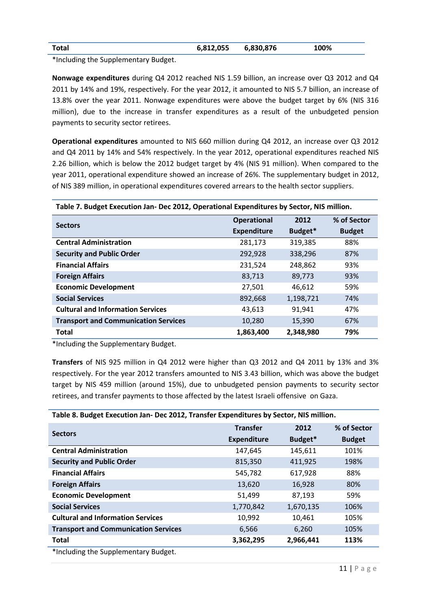| Total | 6,812,055 | 6,830,876 | 100% |
|-------|-----------|-----------|------|
|       |           |           |      |

\*Including the Supplementary Budget.

**Nonwage expenditures** during Q4 2012 reached NIS 1.59 billion, an increase over Q3 2012 and Q4 2011 by 14% and 19%, respectively. For the year 2012, it amounted to NIS 5.7 billion, an increase of 13.8% over the year 2011. Nonwage expenditures were above the budget target by 6% (NIS 316 million), due to the increase in transfer expenditures as a result of the unbudgeted pension payments to security sector retirees.

**Operational expenditures** amounted to NIS 660 million during Q4 2012, an increase over Q3 2012 and Q4 2011 by 14% and 54% respectively. In the year 2012, operational expenditures reached NIS 2.26 billion, which is below the 2012 budget target by 4% (NIS 91 million). When compared to the year 2011, operational expenditure showed an increase of 26%. The supplementary budget in 2012, of NIS 389 million, in operational expenditures covered arrears to the health sector suppliers.

## **Table 7. Budget Execution Jan- Dec 2012, Operational Expenditures by Sector, NIS million.**

| <b>Sectors</b>                              | <b>Operational</b> | 2012      | % of Sector   |
|---------------------------------------------|--------------------|-----------|---------------|
|                                             | <b>Expenditure</b> | Budget*   | <b>Budget</b> |
| <b>Central Administration</b>               | 281,173            | 319,385   | 88%           |
| <b>Security and Public Order</b>            | 292,928            | 338,296   | 87%           |
| <b>Financial Affairs</b>                    | 231,524            | 248,862   | 93%           |
| <b>Foreign Affairs</b>                      | 83,713             | 89,773    | 93%           |
| <b>Economic Development</b>                 | 27,501             | 46,612    | 59%           |
| <b>Social Services</b>                      | 892,668            | 1,198,721 | 74%           |
| <b>Cultural and Information Services</b>    | 43,613             | 91,941    | 47%           |
| <b>Transport and Communication Services</b> | 10,280             | 15,390    | 67%           |
| <b>Total</b>                                | 1,863,400          | 2,348,980 | 79%           |

\*Including the Supplementary Budget.

**Transfers** of NIS 925 million in Q4 2012 were higher than Q3 2012 and Q4 2011 by 13% and 3% respectively. For the year 2012 transfers amounted to NIS 3.43 billion, which was above the budget target by NIS 459 million (around 15%), due to unbudgeted pension payments to security sector retirees, and transfer payments to those affected by the latest Israeli offensive on Gaza.

| Table 8. Budget Execution Jan- Dec 2012, Transfer Expenditures by Sector, NIS million. |                    |           |               |  |  |  |
|----------------------------------------------------------------------------------------|--------------------|-----------|---------------|--|--|--|
|                                                                                        | <b>Transfer</b>    | 2012      | % of Sector   |  |  |  |
| <b>Sectors</b>                                                                         | <b>Expenditure</b> | Budget*   | <b>Budget</b> |  |  |  |
| <b>Central Administration</b>                                                          | 147,645            | 145,611   | 101%          |  |  |  |
| <b>Security and Public Order</b>                                                       | 815,350            | 411,925   | 198%          |  |  |  |
| <b>Financial Affairs</b>                                                               | 545,782            | 617,928   | 88%           |  |  |  |
| <b>Foreign Affairs</b>                                                                 | 13,620             | 16,928    | 80%           |  |  |  |
| <b>Economic Development</b>                                                            | 51,499             | 87,193    | 59%           |  |  |  |
| <b>Social Services</b>                                                                 | 1,770,842          | 1,670,135 | 106%          |  |  |  |
| <b>Cultural and Information Services</b>                                               | 10,992             | 10,461    | 105%          |  |  |  |
| <b>Transport and Communication Services</b>                                            | 6,566              | 6,260     | 105%          |  |  |  |
| <b>Total</b>                                                                           | 3,362,295          | 2,966,441 | 113%          |  |  |  |
| *Including the Sunnlementary Rudget                                                    |                    |           |               |  |  |  |

Including the Supplementary Budget.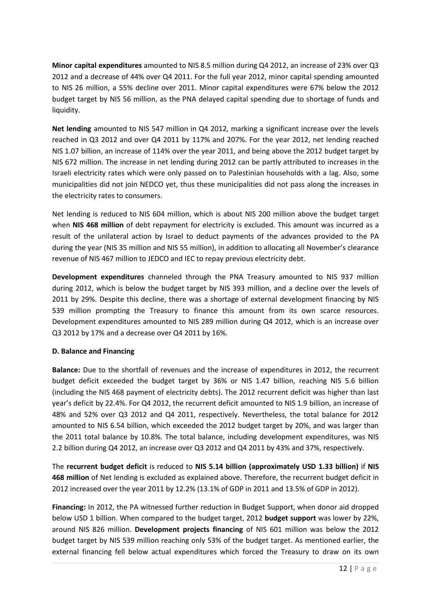**Minor capital expenditures** amounted to NIS 8.5 million during Q4 2012, an increase of 23% over Q3 2012 and a decrease of 44% over Q4 2011. For the full year 2012, minor capital spending amounted to NIS 26 million, a 55% decline over 2011. Minor capital expenditures were 67% below the 2012 budget target by NIS 56 million, as the PNA delayed capital spending due to shortage of funds and liquidity.

**Net lending** amounted to NIS 547 million in Q4 2012, marking a significant increase over the levels reached in Q3 2012 and over Q4 2011 by 117% and 207%. For the year 2012, net lending reached NIS 1.07 billion, an increase of 114% over the year 2011, and being above the 2012 budget target by NIS 672 million. The increase in net lending during 2012 can be partly attributed to increases in the Israeli electricity rates which were only passed on to Palestinian households with a lag. Also, some municipalities did not join NEDCO yet, thus these municipalities did not pass along the increases in the electricity rates to consumers.

Net lending is reduced to NIS 604 million, which is about NIS 200 million above the budget target when **NIS 468 million** of debt repayment for electricity is excluded. This amount was incurred as a result of the unilateral action by Israel to deduct payments of the advances provided to the PA during the year (NIS 35 million and NIS 55 million), in addition to allocating all November's clearance revenue of NIS 467 million to JEDCO and IEC to repay previous electricity debt.

**Development expenditures** channeled through the PNA Treasury amounted to NIS 937 million during 2012, which is below the budget target by NIS 393 million, and a decline over the levels of 2011 by 29%. Despite this decline, there was a shortage of external development financing by NIS 539 million prompting the Treasury to finance this amount from its own scarce resources. Development expenditures amounted to NIS 289 million during Q4 2012, which is an increase over Q3 2012 by 17% and a decrease over Q4 2011 by 16%.

# **D. Balance and Financing**

**Balance:** Due to the shortfall of revenues and the increase of expenditures in 2012, the recurrent budget deficit exceeded the budget target by 36% or NIS 1.47 billion, reaching NIS 5.6 billion (including the NIS 468 payment of electricity debts). The 2012 recurrent deficit was higher than last year's deficit by 22.4%. For Q4 2012, the recurrent deficit amounted to NIS 1.9 billion, an increase of 48% and 52% over Q3 2012 and Q4 2011, respectively. Nevertheless, the total balance for 2012 amounted to NIS 6.54 billion, which exceeded the 2012 budget target by 20%, and was larger than the 2011 total balance by 10.8%. The total balance, including development expenditures, was NIS 2.2 billion during Q4 2012, an increase over Q3 2012 and Q4 2011 by 43% and 37%, respectively.

The **recurrent budget deficit** is reduced to **NIS 5.14 billion (approximately USD 1.33 billion)** if **NIS 468 million** of Net lending is excluded as explained above. Therefore, the recurrent budget deficit in 2012 increased over the year 2011 by 12.2% (13.1% of GDP in 2011 and 13.5% of GDP in 2012).

**Financing:** In 2012, the PA witnessed further reduction in Budget Support, when donor aid dropped below USD 1 billion. When compared to the budget target, 2012 **budget support** was lower by 22%, around NIS 826 million. **Development projects financing** of NIS 601 million was below the 2012 budget target by NIS 539 million reaching only 53% of the budget target. As mentioned earlier, the external financing fell below actual expenditures which forced the Treasury to draw on its own